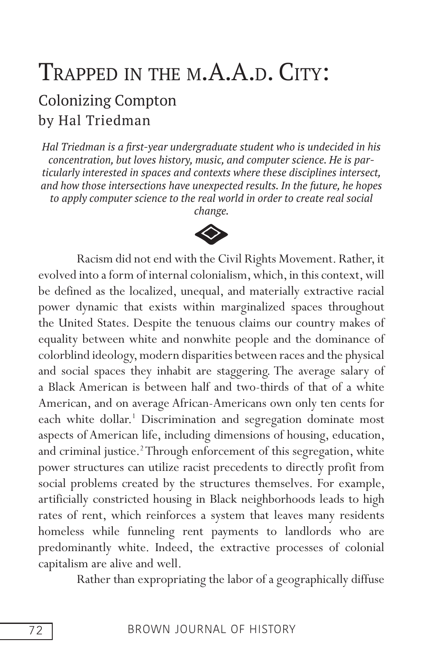# TRAPPED IN THE M.A.A.D. CITY: Colonizing Compton by Hal Triedman

*Hal Triedman is a frst-year undergraduate student who is undecided in his concentration, but loves history, music, and computer science. He is particularly interested in spaces and contexts where these disciplines intersect, and how those intersections have unexpected results. In the future, he hopes to apply computer science to the real world in order to create real social* 



Racism did not end with the Civil Rights Movement. Rather, it evolved into a form of internal colonialism, which, in this context, will be defined as the localized, unequal, and materially extractive racial power dynamic that exists within marginalized spaces throughout the United States. Despite the tenuous claims our country makes of equality between white and nonwhite people and the dominance of colorblind ideology, modern disparities between races and the physical and social spaces they inhabit are staggering. The average salary of a Black American is between half and two-thirds of that of a white American, and on average African-Americans own only ten cents for each white dollar.<sup>1</sup> Discrimination and segregation dominate most aspects of American life, including dimensions of housing, education, and criminal justice.<sup>2</sup> Through enforcement of this segregation, white power structures can utilize racist precedents to directly profit from social problems created by the structures themselves. For example, artificially constricted housing in Black neighborhoods leads to high rates of rent, which reinforces a system that leaves many residents homeless while funneling rent payments to landlords who are predominantly white. Indeed, the extractive processes of colonial capitalism are alive and well.

Rather than expropriating the labor of a geographically diffuse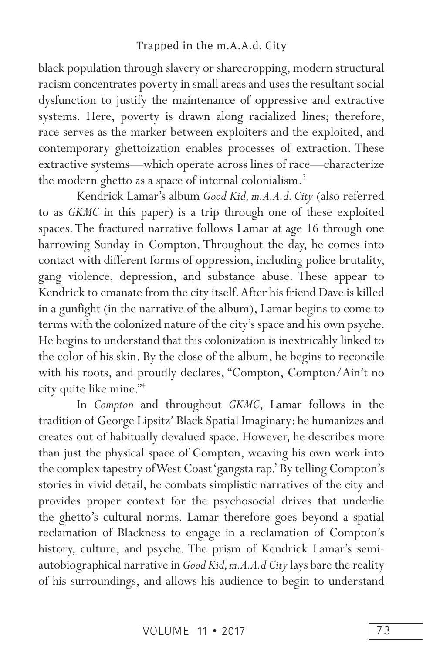black population through slavery or sharecropping, modern structural racism concentrates poverty in small areas and uses the resultant social dysfunction to justify the maintenance of oppressive and extractive systems. Here, poverty is drawn along racialized lines; therefore, race serves as the marker between exploiters and the exploited, and contemporary ghettoization enables processes of extraction. These extractive systems—which operate across lines of race—characterize the modern ghetto as a space of internal colonialism.<sup>3</sup>

Kendrick Lamar's album *Good Kid, m.A.A.d. City* (also referred to as *GKMC* in this paper) is a trip through one of these exploited spaces. The fractured narrative follows Lamar at age 16 through one harrowing Sunday in Compton. Throughout the day, he comes into contact with different forms of oppression, including police brutality, gang violence, depression, and substance abuse. These appear to Kendrick to emanate from the city itself. After his friend Dave is killed in a gunfight (in the narrative of the album), Lamar begins to come to terms with the colonized nature of the city's space and his own psyche. He begins to understand that this colonization is inextricably linked to the color of his skin. By the close of the album, he begins to reconcile with his roots, and proudly declares, "Compton, Compton/Ain't no city quite like mine."4

In *Compton* and throughout *GKMC*, Lamar follows in the tradition of George Lipsitz' Black Spatial Imaginary: he humanizes and creates out of habitually devalued space. However, he describes more than just the physical space of Compton, weaving his own work into the complex tapestry of West Coast 'gangsta rap.' By telling Compton's stories in vivid detail, he combats simplistic narratives of the city and provides proper context for the psychosocial drives that underlie the ghetto's cultural norms. Lamar therefore goes beyond a spatial reclamation of Blackness to engage in a reclamation of Compton's history, culture, and psyche. The prism of Kendrick Lamar's semiautobiographical narrative in *Good Kid, m.A.A.d City* lays bare the reality of his surroundings, and allows his audience to begin to understand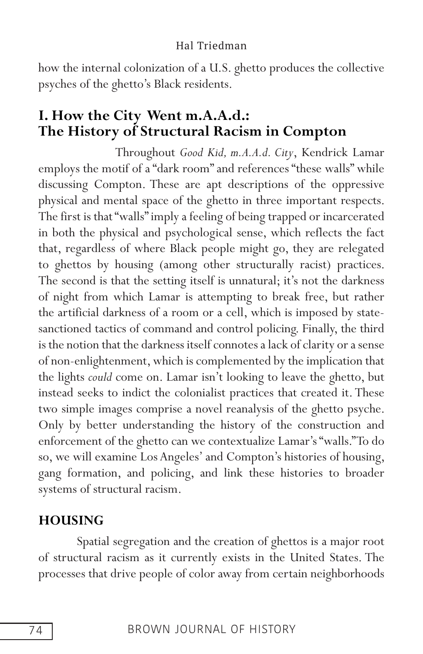how the internal colonization of a U.S. ghetto produces the collective psyches of the ghetto's Black residents.

# **I. How the City Went m.A.A.d.: The History of Structural Racism in Compton**

Throughout *Good Kid, m.A.A.d. City*, Kendrick Lamar employs the motif of a "dark room" and references "these walls" while discussing Compton. These are apt descriptions of the oppressive physical and mental space of the ghetto in three important respects. The first is that "walls" imply a feeling of being trapped or incarcerated in both the physical and psychological sense, which reflects the fact that, regardless of where Black people might go, they are relegated to ghettos by housing (among other structurally racist) practices. The second is that the setting itself is unnatural; it's not the darkness of night from which Lamar is attempting to break free, but rather the artificial darkness of a room or a cell, which is imposed by statesanctioned tactics of command and control policing. Finally, the third is the notion that the darkness itself connotes a lack of clarity or a sense of non-enlightenment, which is complemented by the implication that the lights *could* come on. Lamar isn't looking to leave the ghetto, but instead seeks to indict the colonialist practices that created it. These two simple images comprise a novel reanalysis of the ghetto psyche. Only by better understanding the history of the construction and enforcement of the ghetto can we contextualize Lamar's "walls." To do so, we will examine Los Angeles' and Compton's histories of housing, gang formation, and policing, and link these histories to broader systems of structural racism.

## **HOUSING**

Spatial segregation and the creation of ghettos is a major root of structural racism as it currently exists in the United States. The processes that drive people of color away from certain neighborhoods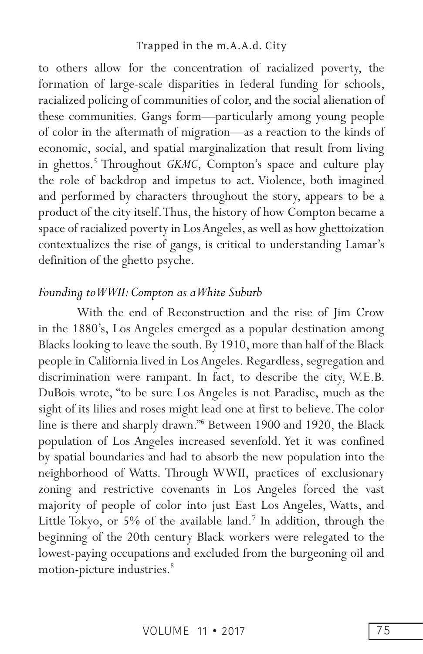to others allow for the concentration of racialized poverty, the formation of large-scale disparities in federal funding for schools, racialized policing of communities of color, and the social alienation of these communities. Gangs form—particularly among young people of color in the aftermath of migration—as a reaction to the kinds of economic, social, and spatial marginalization that result from living in ghettos.<sup>5</sup> Throughout *GKMC*, Compton's space and culture play the role of backdrop and impetus to act. Violence, both imagined and performed by characters throughout the story, appears to be a product of the city itself. Thus, the history of how Compton became a space of racialized poverty in Los Angeles, as well as how ghettoization contextualizes the rise of gangs, is critical to understanding Lamar's definition of the ghetto psyche.

## *Founding to WWII: Compton as a White Suburb*

With the end of Reconstruction and the rise of Jim Crow in the 1880's, Los Angeles emerged as a popular destination among Blacks looking to leave the south. By 1910, more than half of the Black people in California lived in Los Angeles. Regardless, segregation and discrimination were rampant. In fact, to describe the city, W.E.B. DuBois wrote, "to be sure Los Angeles is not Paradise, much as the sight of its lilies and roses might lead one at first to believe. The color line is there and sharply drawn."6 Between 1900 and 1920, the Black population of Los Angeles increased sevenfold. Yet it was confined by spatial boundaries and had to absorb the new population into the neighborhood of Watts. Through WWII, practices of exclusionary zoning and restrictive covenants in Los Angeles forced the vast majority of people of color into just East Los Angeles, Watts, and Little Tokyo, or 5% of the available land.<sup>7</sup> In addition, through the beginning of the 20th century Black workers were relegated to the lowest-paying occupations and excluded from the burgeoning oil and motion-picture industries.<sup>8</sup>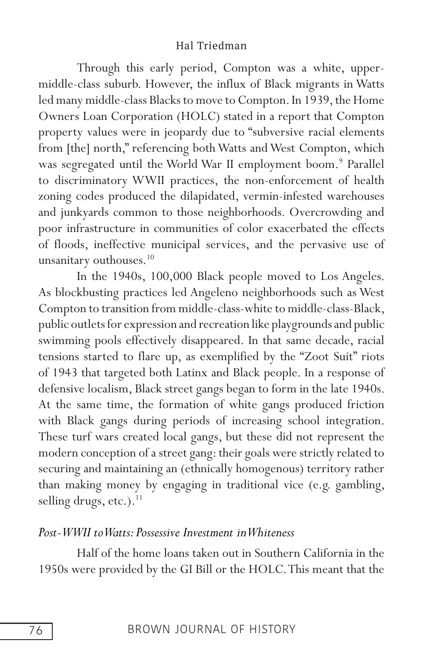Through this early period, Compton was a white, uppermiddle-class suburb. However, the influx of Black migrants in Watts led many middle-class Blacks to move to Compton. In 1939, the Home Owners Loan Corporation (HOLC) stated in a report that Compton property values were in jeopardy due to "subversive racial elements from [the] north," referencing both Watts and West Compton, which was segregated until the World War II employment boom.<sup>9</sup> Parallel to discriminatory WWII practices, the non-enforcement of health zoning codes produced the dilapidated, vermin-infested warehouses and junkyards common to those neighborhoods. Overcrowding and poor infrastructure in communities of color exacerbated the effects of floods, ineffective municipal services, and the pervasive use of unsanitary outhouses.<sup>10</sup>

In the 1940s, 100,000 Black people moved to Los Angeles. As blockbusting practices led Angeleno neighborhoods such as West Compton to transition from middle-class-white to middle-class-Black, public outlets for expression and recreation like playgrounds and public swimming pools effectively disappeared. In that same decade, racial tensions started to flare up, as exemplified by the "Zoot Suit" riots of 1943 that targeted both Latinx and Black people. In a response of defensive localism, Black street gangs began to form in the late 1940s. At the same time, the formation of white gangs produced friction with Black gangs during periods of increasing school integration. These turf wars created local gangs, but these did not represent the modern conception of a street gang: their goals were strictly related to securing and maintaining an (ethnically homogenous) territory rather than making money by engaging in traditional vice (e.g. gambling, selling drugs, etc.).<sup>11</sup>

#### *Post-WWII to Watts: Possessive Investment in Whiteness*

Half of the home loans taken out in Southern California in the 1950s were provided by the GI Bill or the HOLC. This meant that the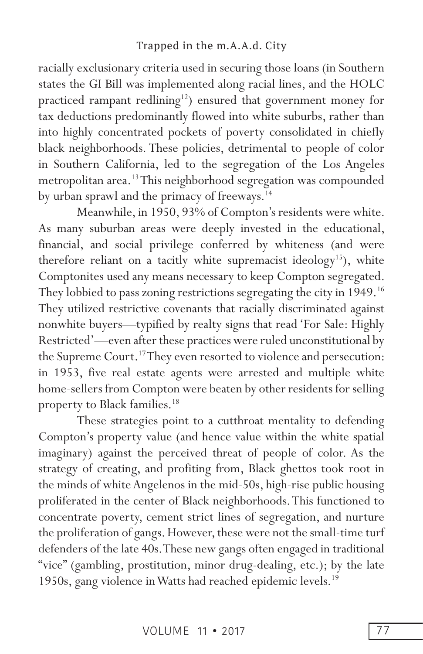racially exclusionary criteria used in securing those loans (in Southern states the GI Bill was implemented along racial lines, and the HOLC practiced rampant redlining<sup>12</sup>) ensured that government money for tax deductions predominantly flowed into white suburbs, rather than into highly concentrated pockets of poverty consolidated in chiefly black neighborhoods. These policies, detrimental to people of color in Southern California, led to the segregation of the Los Angeles metropolitan area.13 This neighborhood segregation was compounded by urban sprawl and the primacy of freeways.<sup>14</sup>

Meanwhile, in 1950, 93% of Compton's residents were white. As many suburban areas were deeply invested in the educational, financial, and social privilege conferred by whiteness (and were therefore reliant on a tacitly white supremacist ideology<sup>15</sup>), white Comptonites used any means necessary to keep Compton segregated. They lobbied to pass zoning restrictions segregating the city in 1949.<sup>16</sup> They utilized restrictive covenants that racially discriminated against nonwhite buyers—typified by realty signs that read 'For Sale: Highly Restricted'—even after these practices were ruled unconstitutional by the Supreme Court.<sup>17</sup> They even resorted to violence and persecution: in 1953, five real estate agents were arrested and multiple white home-sellers from Compton were beaten by other residents for selling property to Black families.18

These strategies point to a cutthroat mentality to defending Compton's property value (and hence value within the white spatial imaginary) against the perceived threat of people of color. As the strategy of creating, and profiting from, Black ghettos took root in the minds of white Angelenos in the mid-50s, high-rise public housing proliferated in the center of Black neighborhoods. This functioned to concentrate poverty, cement strict lines of segregation, and nurture the proliferation of gangs. However, these were not the small-time turf defenders of the late 40s. These new gangs often engaged in traditional "vice" (gambling, prostitution, minor drug-dealing, etc.); by the late 1950s, gang violence in Watts had reached epidemic levels.<sup>19</sup>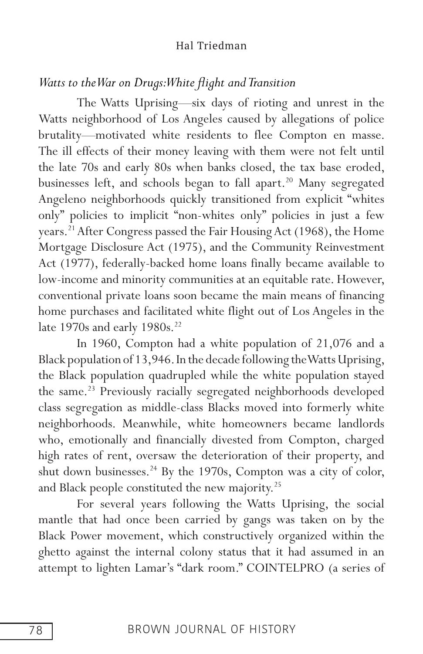## *Watts to the War on Drugs: White fight and Transition*

The Watts Uprising—six days of rioting and unrest in the Watts neighborhood of Los Angeles caused by allegations of police brutality—motivated white residents to flee Compton en masse. The ill effects of their money leaving with them were not felt until the late 70s and early 80s when banks closed, the tax base eroded, businesses left, and schools began to fall apart.<sup>20</sup> Many segregated Angeleno neighborhoods quickly transitioned from explicit "whites only" policies to implicit "non-whites only" policies in just a few years.<sup>21</sup> After Congress passed the Fair Housing Act (1968), the Home Mortgage Disclosure Act (1975), and the Community Reinvestment Act (1977), federally-backed home loans finally became available to low-income and minority communities at an equitable rate. However, conventional private loans soon became the main means of financing home purchases and facilitated white flight out of Los Angeles in the late 1970s and early 1980s.<sup>22</sup>

In 1960, Compton had a white population of 21,076 and a Black population of 13,946. In the decade following the Watts Uprising, the Black population quadrupled while the white population stayed the same.<sup>23</sup> Previously racially segregated neighborhoods developed class segregation as middle-class Blacks moved into formerly white neighborhoods. Meanwhile, white homeowners became landlords who, emotionally and financially divested from Compton, charged high rates of rent, oversaw the deterioration of their property, and shut down businesses.<sup>24</sup> By the 1970s, Compton was a city of color, and Black people constituted the new majority.<sup>25</sup>

For several years following the Watts Uprising, the social mantle that had once been carried by gangs was taken on by the Black Power movement, which constructively organized within the ghetto against the internal colony status that it had assumed in an attempt to lighten Lamar's "dark room." COINTELPRO (a series of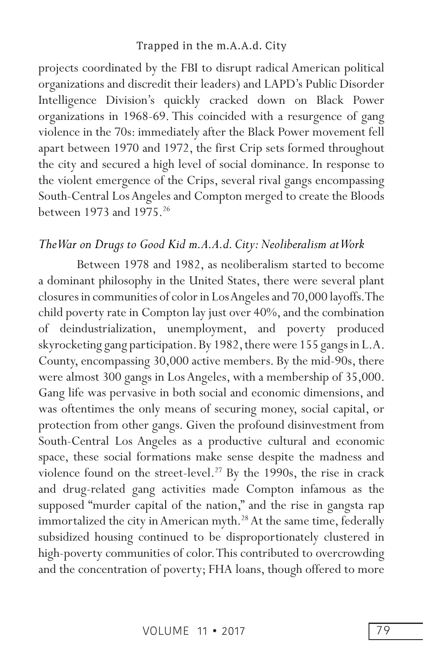projects coordinated by the FBI to disrupt radical American political organizations and discredit their leaders) and LAPD's Public Disorder Intelligence Division's quickly cracked down on Black Power organizations in 1968-69. This coincided with a resurgence of gang violence in the 70s: immediately after the Black Power movement fell apart between 1970 and 1972, the first Crip sets formed throughout the city and secured a high level of social dominance. In response to the violent emergence of the Crips, several rival gangs encompassing South-Central Los Angeles and Compton merged to create the Bloods between 1973 and 1975.<sup>26</sup>

#### *The War on Drugs to Good Kid m.A.A.d. City: Neoliberalism at Work*

Between 1978 and 1982, as neoliberalism started to become a dominant philosophy in the United States, there were several plant closures in communities of color in Los Angeles and 70,000 layoffs. The child poverty rate in Compton lay just over 40%, and the combination of deindustrialization, unemployment, and poverty produced skyrocketing gang participation. By 1982, there were 155 gangs in L.A. County, encompassing 30,000 active members. By the mid-90s, there were almost 300 gangs in Los Angeles, with a membership of 35,000. Gang life was pervasive in both social and economic dimensions, and was oftentimes the only means of securing money, social capital, or protection from other gangs. Given the profound disinvestment from South-Central Los Angeles as a productive cultural and economic space, these social formations make sense despite the madness and violence found on the street-level.<sup>27</sup> By the 1990s, the rise in crack and drug-related gang activities made Compton infamous as the supposed "murder capital of the nation," and the rise in gangsta rap immortalized the city in American myth.<sup>28</sup> At the same time, federally subsidized housing continued to be disproportionately clustered in high-poverty communities of color. This contributed to overcrowding and the concentration of poverty; FHA loans, though offered to more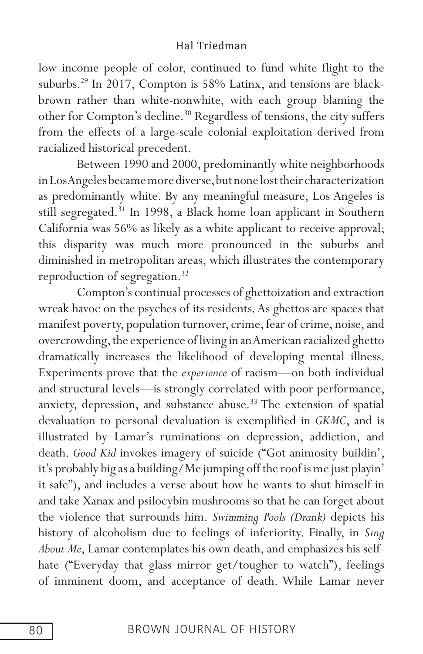low income people of color, continued to fund white flight to the suburbs.29 In 2017, Compton is 58% Latinx, and tensions are blackbrown rather than white-nonwhite, with each group blaming the other for Compton's decline.<sup>30</sup> Regardless of tensions, the city suffers from the effects of a large-scale colonial exploitation derived from racialized historical precedent.

Between 1990 and 2000, predominantly white neighborhoods in Los Angeles became more diverse, but none lost their characterization as predominantly white. By any meaningful measure, Los Angeles is still segregated.31 In 1998, a Black home loan applicant in Southern California was 56% as likely as a white applicant to receive approval; this disparity was much more pronounced in the suburbs and diminished in metropolitan areas, which illustrates the contemporary reproduction of segregation.<sup>32</sup>

Compton's continual processes of ghettoization and extraction wreak havoc on the psyches of its residents. As ghettos are spaces that manifest poverty, population turnover, crime, fear of crime, noise, and overcrowding, the experience of living in an American racialized ghetto dramatically increases the likelihood of developing mental illness. Experiments prove that the *experience* of racism—on both individual and structural levels—is strongly correlated with poor performance, anxiety, depression, and substance abuse.<sup>33</sup> The extension of spatial devaluation to personal devaluation is exemplified in *GKMC*, and is illustrated by Lamar's ruminations on depression, addiction, and death. *Good Kid* invokes imagery of suicide ("Got animosity buildin', it's probably big as a building/Me jumping off the roof is me just playin' it safe"), and includes a verse about how he wants to shut himself in and take Xanax and psilocybin mushrooms so that he can forget about the violence that surrounds him. *Swimming Pools (Drank)* depicts his history of alcoholism due to feelings of inferiority. Finally, in *Sing About Me*, Lamar contemplates his own death, and emphasizes his selfhate ("Everyday that glass mirror get/tougher to watch"), feelings of imminent doom, and acceptance of death. While Lamar never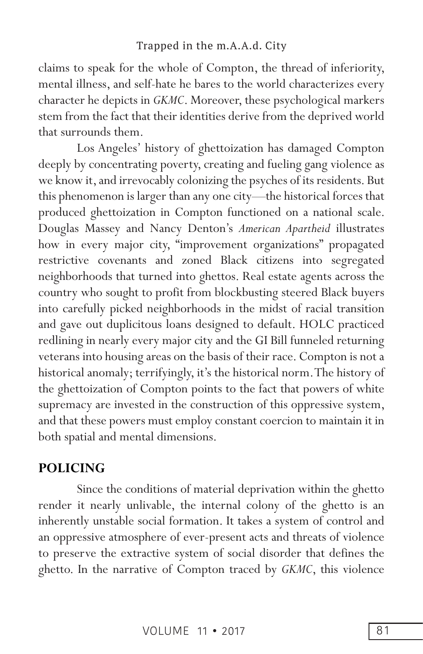claims to speak for the whole of Compton, the thread of inferiority, mental illness, and self-hate he bares to the world characterizes every character he depicts in *GKMC*. Moreover, these psychological markers stem from the fact that their identities derive from the deprived world that surrounds them.

Los Angeles' history of ghettoization has damaged Compton deeply by concentrating poverty, creating and fueling gang violence as we know it, and irrevocably colonizing the psyches of its residents. But this phenomenon is larger than any one city—the historical forces that produced ghettoization in Compton functioned on a national scale. Douglas Massey and Nancy Denton's *American Apartheid* illustrates how in every major city, "improvement organizations" propagated restrictive covenants and zoned Black citizens into segregated neighborhoods that turned into ghettos. Real estate agents across the country who sought to profit from blockbusting steered Black buyers into carefully picked neighborhoods in the midst of racial transition and gave out duplicitous loans designed to default. HOLC practiced redlining in nearly every major city and the GI Bill funneled returning veterans into housing areas on the basis of their race. Compton is not a historical anomaly; terrifyingly, it's the historical norm. The history of the ghettoization of Compton points to the fact that powers of white supremacy are invested in the construction of this oppressive system, and that these powers must employ constant coercion to maintain it in both spatial and mental dimensions.

## **POLICING**

Since the conditions of material deprivation within the ghetto render it nearly unlivable, the internal colony of the ghetto is an inherently unstable social formation. It takes a system of control and an oppressive atmosphere of ever-present acts and threats of violence to preserve the extractive system of social disorder that defines the ghetto. In the narrative of Compton traced by *GKMC*, this violence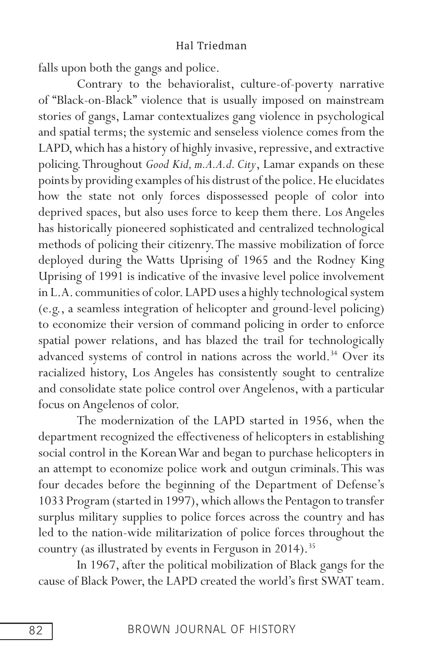falls upon both the gangs and police.

Contrary to the behavioralist, culture-of-poverty narrative of "Black-on-Black" violence that is usually imposed on mainstream stories of gangs, Lamar contextualizes gang violence in psychological and spatial terms; the systemic and senseless violence comes from the LAPD, which has a history of highly invasive, repressive, and extractive policing. Throughout *Good Kid, m.A.A.d. City*, Lamar expands on these points by providing examples of his distrust of the police. He elucidates how the state not only forces dispossessed people of color into deprived spaces, but also uses force to keep them there. Los Angeles has historically pioneered sophisticated and centralized technological methods of policing their citizenry. The massive mobilization of force deployed during the Watts Uprising of 1965 and the Rodney King Uprising of 1991 is indicative of the invasive level police involvement in L.A. communities of color. LAPD uses a highly technological system (e.g., a seamless integration of helicopter and ground-level policing) to economize their version of command policing in order to enforce spatial power relations, and has blazed the trail for technologically advanced systems of control in nations across the world.<sup>34</sup> Over its racialized history, Los Angeles has consistently sought to centralize and consolidate state police control over Angelenos, with a particular focus on Angelenos of color.

The modernization of the LAPD started in 1956, when the department recognized the effectiveness of helicopters in establishing social control in the Korean War and began to purchase helicopters in an attempt to economize police work and outgun criminals. This was four decades before the beginning of the Department of Defense's 1033 Program (started in 1997), which allows the Pentagon to transfer surplus military supplies to police forces across the country and has led to the nation-wide militarization of police forces throughout the country (as illustrated by events in Ferguson in 2014).<sup>35</sup>

In 1967, after the political mobilization of Black gangs for the cause of Black Power, the LAPD created the world's first SWAT team.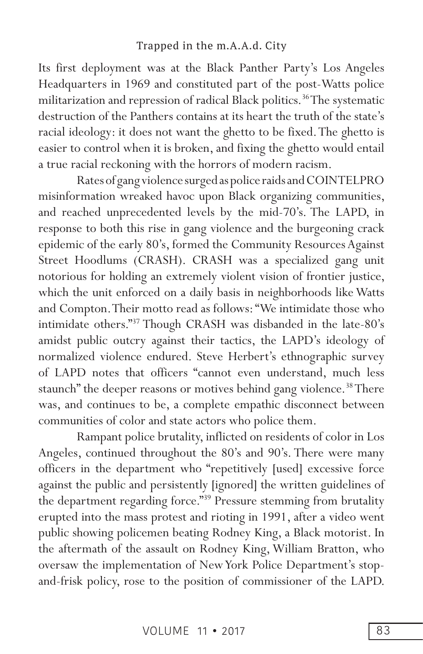Its first deployment was at the Black Panther Party's Los Angeles Headquarters in 1969 and constituted part of the post-Watts police militarization and repression of radical Black politics.<sup>36</sup> The systematic destruction of the Panthers contains at its heart the truth of the state's racial ideology: it does not want the ghetto to be fixed. The ghetto is easier to control when it is broken, and fixing the ghetto would entail a true racial reckoning with the horrors of modern racism.

Rates of gang violence surged as police raids and COINTELPRO misinformation wreaked havoc upon Black organizing communities, and reached unprecedented levels by the mid-70's. The LAPD, in response to both this rise in gang violence and the burgeoning crack epidemic of the early 80's, formed the Community Resources Against Street Hoodlums (CRASH). CRASH was a specialized gang unit notorious for holding an extremely violent vision of frontier justice, which the unit enforced on a daily basis in neighborhoods like Watts and Compton. Their motto read as follows: "We intimidate those who intimidate others."37 Though CRASH was disbanded in the late-80's amidst public outcry against their tactics, the LAPD's ideology of normalized violence endured. Steve Herbert's ethnographic survey of LAPD notes that officers "cannot even understand, much less staunch" the deeper reasons or motives behind gang violence.<sup>38</sup> There was, and continues to be, a complete empathic disconnect between communities of color and state actors who police them.

Rampant police brutality, inflicted on residents of color in Los Angeles, continued throughout the 80's and 90's. There were many officers in the department who "repetitively [used] excessive force against the public and persistently [ignored] the written guidelines of the department regarding force."39 Pressure stemming from brutality erupted into the mass protest and rioting in 1991, after a video went public showing policemen beating Rodney King, a Black motorist. In the aftermath of the assault on Rodney King, William Bratton, who oversaw the implementation of New York Police Department's stopand-frisk policy, rose to the position of commissioner of the LAPD.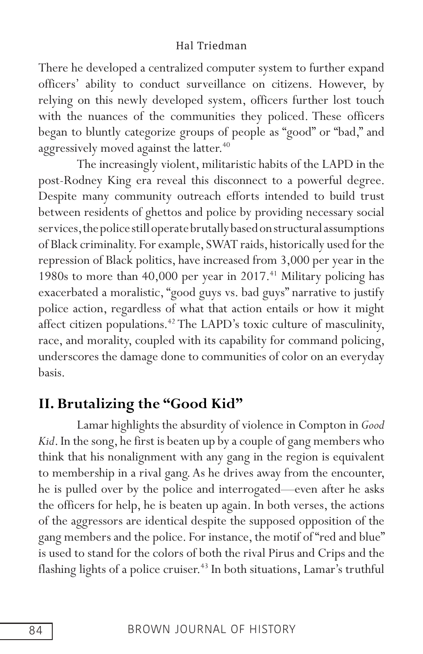There he developed a centralized computer system to further expand officers' ability to conduct surveillance on citizens. However, by relying on this newly developed system, officers further lost touch with the nuances of the communities they policed. These officers began to bluntly categorize groups of people as "good" or "bad," and aggressively moved against the latter.<sup>40</sup>

The increasingly violent, militaristic habits of the LAPD in the post-Rodney King era reveal this disconnect to a powerful degree. Despite many community outreach efforts intended to build trust between residents of ghettos and police by providing necessary social services, the police still operate brutally based on structural assumptions of Black criminality. For example, SWAT raids, historically used for the repression of Black politics, have increased from 3,000 per year in the 1980s to more than  $40,000$  per year in  $2017.<sup>41</sup>$  Military policing has exacerbated a moralistic, "good guys vs. bad guys" narrative to justify police action, regardless of what that action entails or how it might affect citizen populations.<sup>42</sup> The LAPD's toxic culture of masculinity, race, and morality, coupled with its capability for command policing, underscores the damage done to communities of color on an everyday basis.

## **II. Brutalizing the "Good Kid"**

Lamar highlights the absurdity of violence in Compton in *Good Kid*. In the song, he first is beaten up by a couple of gang members who think that his nonalignment with any gang in the region is equivalent to membership in a rival gang. As he drives away from the encounter, he is pulled over by the police and interrogated—even after he asks the officers for help, he is beaten up again. In both verses, the actions of the aggressors are identical despite the supposed opposition of the gang members and the police. For instance, the motif of "red and blue" is used to stand for the colors of both the rival Pirus and Crips and the flashing lights of a police cruiser.<sup>43</sup> In both situations, Lamar's truthful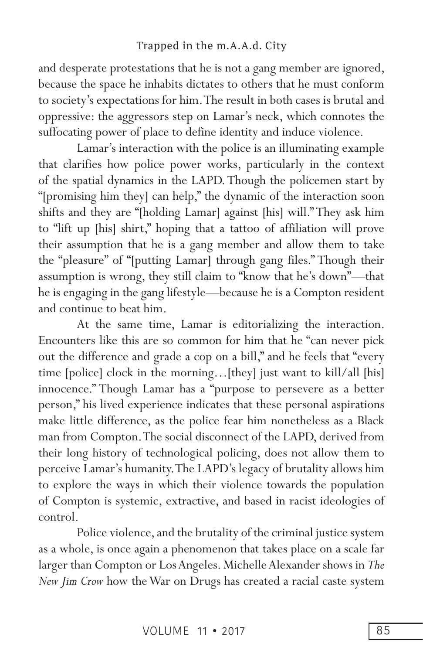and desperate protestations that he is not a gang member are ignored, because the space he inhabits dictates to others that he must conform to society's expectations for him. The result in both cases is brutal and oppressive: the aggressors step on Lamar's neck, which connotes the suffocating power of place to define identity and induce violence.

Lamar's interaction with the police is an illuminating example that clarifies how police power works, particularly in the context of the spatial dynamics in the LAPD. Though the policemen start by "[promising him they] can help," the dynamic of the interaction soon shifts and they are "[holding Lamar] against [his] will." They ask him to "lift up [his] shirt," hoping that a tattoo of affiliation will prove their assumption that he is a gang member and allow them to take the "pleasure" of "[putting Lamar] through gang files." Though their assumption is wrong, they still claim to "know that he's down"—that he is engaging in the gang lifestyle—because he is a Compton resident and continue to beat him.

At the same time, Lamar is editorializing the interaction. Encounters like this are so common for him that he "can never pick out the difference and grade a cop on a bill," and he feels that "every time [police] clock in the morning…[they] just want to kill/all [his] innocence." Though Lamar has a "purpose to persevere as a better person," his lived experience indicates that these personal aspirations make little difference, as the police fear him nonetheless as a Black man from Compton. The social disconnect of the LAPD, derived from their long history of technological policing, does not allow them to perceive Lamar's humanity. The LAPD's legacy of brutality allows him to explore the ways in which their violence towards the population of Compton is systemic, extractive, and based in racist ideologies of control.

Police violence, and the brutality of the criminal justice system as a whole, is once again a phenomenon that takes place on a scale far larger than Compton or Los Angeles. Michelle Alexander shows in *The New Jim Crow* how the War on Drugs has created a racial caste system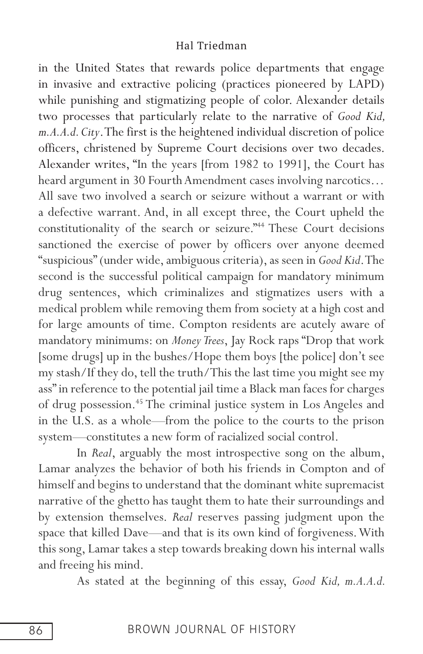in the United States that rewards police departments that engage in invasive and extractive policing (practices pioneered by LAPD) while punishing and stigmatizing people of color. Alexander details two processes that particularly relate to the narrative of *Good Kid, m.A.A.d. City*. The first is the heightened individual discretion of police officers, christened by Supreme Court decisions over two decades. Alexander writes, "In the years [from 1982 to 1991], the Court has heard argument in 30 Fourth Amendment cases involving narcotics… All save two involved a search or seizure without a warrant or with a defective warrant. And, in all except three, the Court upheld the constitutionality of the search or seizure."44 These Court decisions sanctioned the exercise of power by officers over anyone deemed "suspicious" (under wide, ambiguous criteria), as seen in *Good Kid*. The second is the successful political campaign for mandatory minimum drug sentences, which criminalizes and stigmatizes users with a medical problem while removing them from society at a high cost and for large amounts of time. Compton residents are acutely aware of mandatory minimums: on *Money Trees*, Jay Rock raps "Drop that work [some drugs] up in the bushes/Hope them boys [the police] don't see my stash/If they do, tell the truth/This the last time you might see my ass" in reference to the potential jail time a Black man faces for charges of drug possession.45 The criminal justice system in Los Angeles and in the U.S. as a whole—from the police to the courts to the prison system—constitutes a new form of racialized social control.

In *Real*, arguably the most introspective song on the album, Lamar analyzes the behavior of both his friends in Compton and of himself and begins to understand that the dominant white supremacist narrative of the ghetto has taught them to hate their surroundings and by extension themselves. *Real* reserves passing judgment upon the space that killed Dave—and that is its own kind of forgiveness. With this song, Lamar takes a step towards breaking down his internal walls and freeing his mind.

As stated at the beginning of this essay, *Good Kid, m.A.A.d.*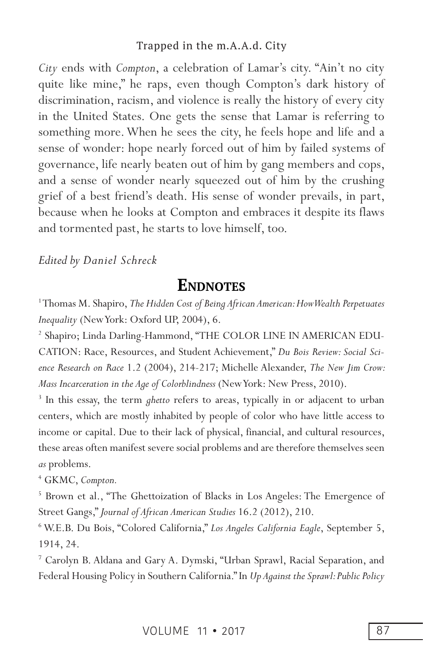*City* ends with *Compton*, a celebration of Lamar's city. "Ain't no city quite like mine," he raps, even though Compton's dark history of discrimination, racism, and violence is really the history of every city in the United States. One gets the sense that Lamar is referring to something more. When he sees the city, he feels hope and life and a sense of wonder: hope nearly forced out of him by failed systems of governance, life nearly beaten out of him by gang members and cops, and a sense of wonder nearly squeezed out of him by the crushing grief of a best friend's death. His sense of wonder prevails, in part, because when he looks at Compton and embraces it despite its flaws and tormented past, he starts to love himself, too.

#### *Edited by Daniel Schreck*

# **ENDNOTES**

<sup>1</sup>Thomas M. Shapiro, *The Hidden Cost of Being African American: How Wealth Perpetuates Inequality* (New York: Oxford UP, 2004), 6.

2 Shapiro; Linda Darling-Hammond, "THE COLOR LINE IN AMERICAN EDU-CATION: Race, Resources, and Student Achievement," *Du Bois Review: Social Science Research on Race* 1.2 (2004), 214-217; Michelle Alexander, *The New Jim Crow: Mass Incarceration in the Age of Colorblindness* (New York: New Press, 2010).

<sup>3</sup> In this essay, the term *ghetto* refers to areas, typically in or adjacent to urban centers, which are mostly inhabited by people of color who have little access to income or capital. Due to their lack of physical, financial, and cultural resources, these areas often manifest severe social problems and are therefore themselves seen *as* problems.

4 GKMC, *Compton.*

<sup>5</sup> Brown et al., "The Ghettoization of Blacks in Los Angeles: The Emergence of Street Gangs," *Journal of African American Studies* 16.2 (2012), 210.

6 W.E.B. Du Bois, "Colored California," *Los Angeles California Eagle*, September 5, 1914, 24.

7 Carolyn B. Aldana and Gary A. Dymski, "Urban Sprawl, Racial Separation, and Federal Housing Policy in Southern California." In *Up Against the Sprawl: Public Policy*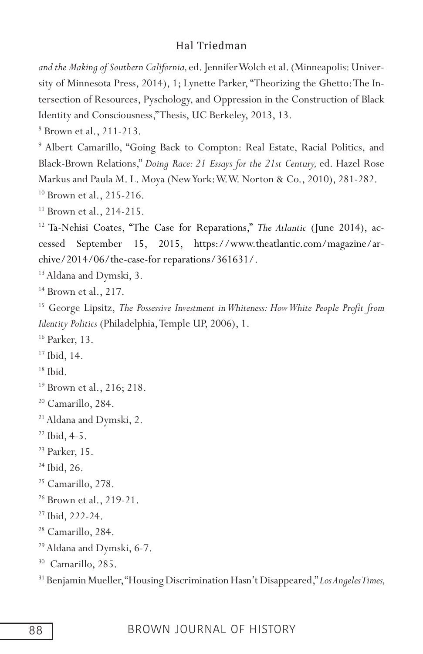*and the Making of Southern California,* ed. Jennifer Wolch et al. (Minneapolis: University of Minnesota Press, 2014), 1; Lynette Parker, "Theorizing the Ghetto: The Intersection of Resources, Pyschology, and Oppression in the Construction of Black Identity and Consciousness," Thesis, UC Berkeley, 2013, 13.

8 Brown et al., 211-213.

9 Albert Camarillo, "Going Back to Compton: Real Estate, Racial Politics, and Black-Brown Relations," *Doing Race: 21 Essays for the 21st Century,* ed. Hazel Rose Markus and Paula M. L. Moya (New York: W.W. Norton & Co., 2010), 281-282. <sup>10</sup> Brown et al., 215-216.

<sup>11</sup> Brown et al., 214-215.

12 Ta-Nehisi Coates, "The Case for Reparations," *The Atlantic* (June 2014), accessed September 15, 2015, https://www.theatlantic.com/magazine/archive/2014/06/the-case-for reparations/361631/.

<sup>13</sup> Aldana and Dymski, 3.

 $14$  Brown et al., 217.

<sup>15</sup> George Lipsitz, *The Possessive Investment in Whiteness: How White People Profit from Identity Politics* (Philadelphia, Temple UP, 2006), 1.

16 Parker, 13.

<sup>17</sup> Ibid, 14.

 $18$  Ibid.

19 Brown et al., 216; 218.

<sup>20</sup> Camarillo, 284.

<sup>21</sup> Aldana and Dymski, 2.

 $22$  Ibid, 4-5.

23 Parker, 15.

 $24$  Ibid, 26.

- <sup>25</sup> Camarillo, 278.
- <sup>26</sup> Brown et al., 219-21.
- <sup>27</sup> Ibid, 222-24.
- 28 Camarillo, 284.
- 29 Aldana and Dymski, 6-7.

<sup>30</sup> Camarillo, 285.

31 Benjamin Mueller, "Housing Discrimination Hasn't Disappeared," *Los Angeles Times,*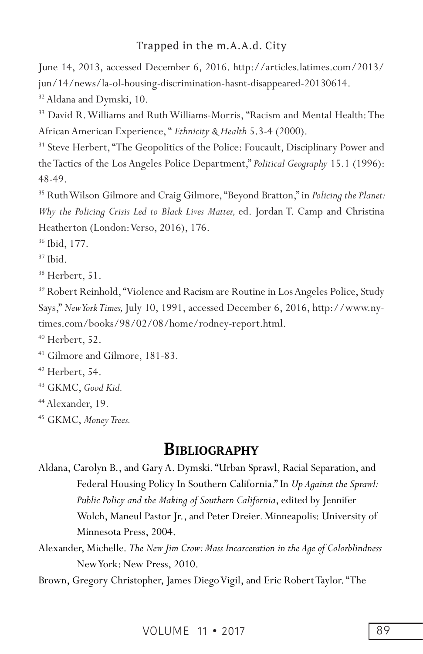June 14, 2013, accessed December 6, 2016. http://articles.latimes.com/2013/ jun/14/news/la-ol-housing-discrimination-hasnt-disappeared-20130614.  $32$  Aldana and Dymski, 10.

<sup>33</sup> David R. Williams and Ruth Williams-Morris, "Racism and Mental Health: The African American Experience, " *Ethnicity & Health* 5.3-4 (2000).

<sup>34</sup> Steve Herbert, "The Geopolitics of the Police: Foucault, Disciplinary Power and the Tactics of the Los Angeles Police Department," *Political Geography* 15.1 (1996): 48-49.

35 Ruth Wilson Gilmore and Craig Gilmore, "Beyond Bratton," in *Policing the Planet: Why the Policing Crisis Led to Black Lives Matter,* ed. Jordan T. Camp and Christina Heatherton (London: Verso, 2016), 176.

36 Ibid, 177.

 $37$  Ibid.

 $38$  Herbert, 51.

<sup>39</sup> Robert Reinhold, "Violence and Racism are Routine in Los Angeles Police, Study Says," *New York Times,* July 10, 1991, accessed December 6, 2016, http://www.nytimes.com/books/98/02/08/home/rodney-report.html.

 $40$  Herbert, 52.

41 Gilmore and Gilmore, 181-83.

42 Herbert, 54.

43 GKMC, *Good Kid.*

<sup>44</sup> Alexander, 19.

45 GKMC, *Money Trees.*

# **BIBLIOGRAPHY**

Aldana, Carolyn B., and Gary A. Dymski. "Urban Sprawl, Racial Separation, and Federal Housing Policy In Southern California." In *Up Against the Sprawl: Public Policy and the Making of Southern California*, edited by Jennifer Wolch, Maneul Pastor Jr., and Peter Dreier*.* Minneapolis: University of Minnesota Press, 2004.

Alexander, Michelle. *The New Jim Crow: Mass Incarceration in the Age of Colorblindness*  New York: New Press, 2010.

Brown, Gregory Christopher, James Diego Vigil, and Eric Robert Taylor. "The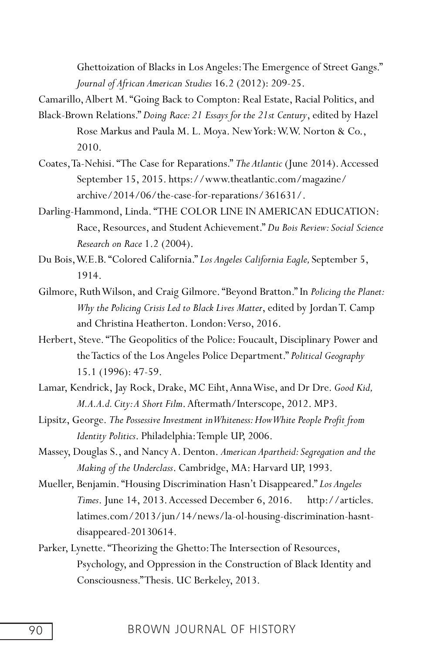Ghettoization of Blacks in Los Angeles: The Emergence of Street Gangs." *Journal of African American Studies* 16.2 (2012): 209-25.

Camarillo, Albert M. "Going Back to Compton: Real Estate, Racial Politics, and Black-Brown Relations." *Doing Race: 21 Essays for the 21st Century*, edited by Hazel Rose Markus and Paula M. L. Moya. New York: W.W. Norton & Co., 2010.

- Coates, Ta-Nehisi. "The Case for Reparations." *The Atlantic* (June 2014). Accessed September 15, 2015. https://www.theatlantic.com/magazine/ archive/2014/06/the-case-for-reparations/361631/.
- Darling-Hammond, Linda. "THE COLOR LINE IN AMERICAN EDUCATION: Race, Resources, and Student Achievement." *Du Bois Review: Social Science Research on Race* 1.2 (2004).
- Du Bois, W.E.B. "Colored California." *Los Angeles California Eagle,* September 5, 1914.
- Gilmore, Ruth Wilson, and Craig Gilmore. "Beyond Bratton." In *Policing the Planet: Why the Policing Crisis Led to Black Lives Matter*, edited by Jordan T. Camp and Christina Heatherton. London: Verso, 2016.
- Herbert, Steve. "The Geopolitics of the Police: Foucault, Disciplinary Power and the Tactics of the Los Angeles Police Department." *Political Geography* 15.1 (1996): 47-59.
- Lamar, Kendrick, Jay Rock, Drake, MC Eiht, Anna Wise, and Dr Dre. *Good Kid, M.A.A.d. City: A Short Film*. Aftermath/Interscope, 2012. MP3.
- Lipsitz, George. *The Possessive Investment in Whiteness: How White People Proft from Identity Politics*. Philadelphia: Temple UP, 2006.
- Massey, Douglas S., and Nancy A. Denton. *American Apartheid: Segregation and the Making of the Underclass*. Cambridge, MA: Harvard UP, 1993.
- Mueller, Benjamin. "Housing Discrimination Hasn't Disappeared." *Los Angeles Times*. June 14, 2013. Accessed December 6, 2016. http://articles. latimes.com/2013/jun/14/news/la-ol-housing-discrimination-hasntdisappeared-20130614.
- Parker, Lynette. "Theorizing the Ghetto: The Intersection of Resources, Psychology, and Oppression in the Construction of Black Identity and Consciousness." Thesis. UC Berkeley, 2013.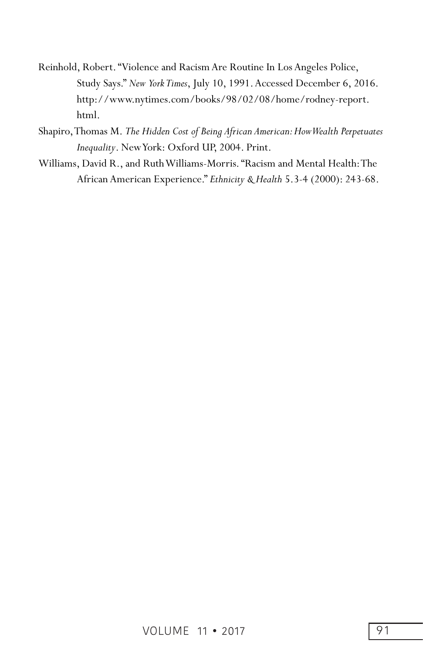- Reinhold, Robert. "Violence and Racism Are Routine In Los Angeles Police, Study Says." *New York Times*, July 10, 1991. Accessed December 6, 2016. http://www.nytimes.com/books/98/02/08/home/rodney-report. html.
- Shapiro, Thomas M. *The Hidden Cost of Being African American: How Wealth Perpetuates Inequality*. New York: Oxford UP, 2004. Print.
- Williams, David R., and Ruth Williams-Morris. "Racism and Mental Health: The African American Experience." *Ethnicity & Health* 5.3-4 (2000): 243-68.